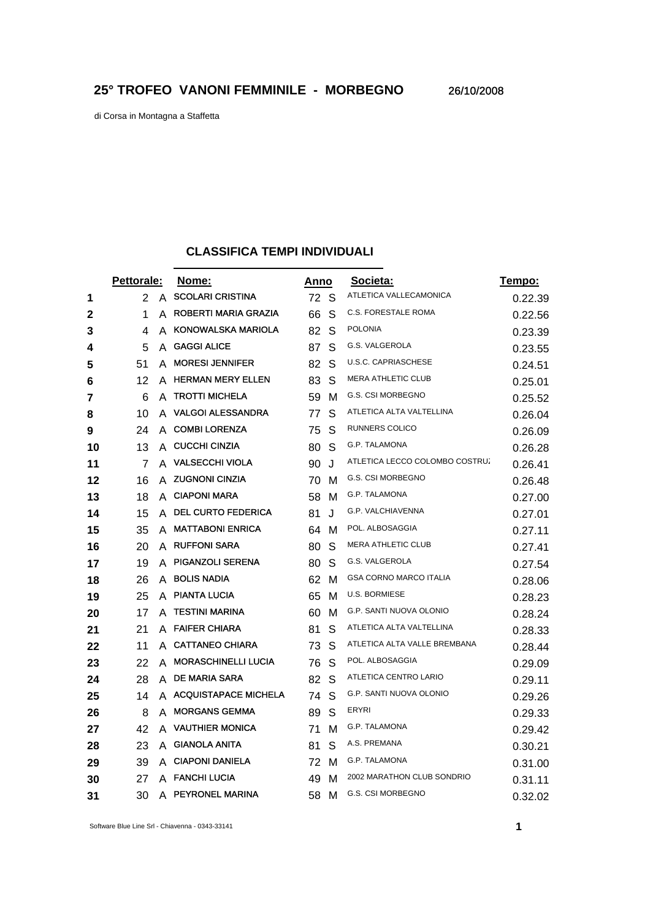di Corsa in Montagna a Staffetta

## **CLASSIFICA TEMPI INDIVIDUALI**

|    | Pettorale: |   | Nome:                      | Anno |   | Societa:                       | Tempo:  |
|----|------------|---|----------------------------|------|---|--------------------------------|---------|
| 1  | 2          | A | <b>SCOLARI CRISTINA</b>    | 72 S |   | ATLETICA VALLECAMONICA         | 0.22.39 |
| 2  | 1          | A | ROBERTI MARIA GRAZIA       | 66   | S | C.S. FORESTALE ROMA            | 0.22.56 |
| 3  | 4          | A | KONOWALSKA MARIOLA         | 82   | S | <b>POLONIA</b>                 | 0.23.39 |
| 4  | 5          | A | <b>GAGGI ALICE</b>         | 87   | S | G.S. VALGEROLA                 | 0.23.55 |
| 5  | 51         | A | <b>MORESI JENNIFER</b>     | 82   | S | U.S.C. CAPRIASCHESE            | 0.24.51 |
| 6  | 12         | A | <b>HERMAN MERY ELLEN</b>   | 83   | S | <b>MERA ATHLETIC CLUB</b>      | 0.25.01 |
| 7  | 6          | A | <b>TROTTI MICHELA</b>      | 59   | м | G.S. CSI MORBEGNO              | 0.25.52 |
| 8  | 10         | A | <b>VALGOI ALESSANDRA</b>   | 77   | S | ATLETICA ALTA VALTELLINA       | 0.26.04 |
| 9  | 24         | A | <b>COMBI LORENZA</b>       | 75   | S | RUNNERS COLICO                 | 0.26.09 |
| 10 | 13         | A | <b>CUCCHI CINZIA</b>       | 80   | S | G.P. TALAMONA                  | 0.26.28 |
| 11 | 7          | А | <b>VALSECCHI VIOLA</b>     | 90   | J | ATLETICA LECCO COLOMBO COSTRU. | 0.26.41 |
| 12 | 16         | A | <b>ZUGNONI CINZIA</b>      | 70   | м | G.S. CSI MORBEGNO              | 0.26.48 |
| 13 | 18         | A | <b>CIAPONI MARA</b>        | 58   | м | G.P. TALAMONA                  | 0.27.00 |
| 14 | 15         | A | <b>DEL CURTO FEDERICA</b>  | 81   | J | G.P. VALCHIAVENNA              | 0.27.01 |
| 15 | 35         | A | <b>MATTABONI ENRICA</b>    | 64   | м | POL. ALBOSAGGIA                | 0.27.11 |
| 16 | 20         | A | <b>RUFFONI SARA</b>        | 80   | S | <b>MERA ATHLETIC CLUB</b>      | 0.27.41 |
| 17 | 19         | A | <b>PIGANZOLI SERENA</b>    | 80   | S | <b>G.S. VALGEROLA</b>          | 0.27.54 |
| 18 | 26         | A | <b>BOLIS NADIA</b>         | 62   | м | <b>GSA CORNO MARCO ITALIA</b>  | 0.28.06 |
| 19 | 25         |   | A PIANTA LUCIA             | 65   | м | U.S. BORMIESE                  | 0.28.23 |
| 20 | 17         | A | <b>TESTINI MARINA</b>      | 60   | м | G.P. SANTI NUOVA OLONIO        | 0.28.24 |
| 21 | 21         | А | <b>FAIFER CHIARA</b>       | 81   | S | ATLETICA ALTA VALTELLINA       | 0.28.33 |
| 22 | 11         | A | <b>CATTANEO CHIARA</b>     | 73   | S | ATLETICA ALTA VALLE BREMBANA   | 0.28.44 |
| 23 | 22         | A | <b>MORASCHINELLI LUCIA</b> | 76   | S | POL. ALBOSAGGIA                | 0.29.09 |
| 24 | 28         | A | <b>DE MARIA SARA</b>       | 82   | S | ATLETICA CENTRO LARIO          | 0.29.11 |
| 25 | 14         |   | A ACQUISTAPACE MICHELA     | 74   | S | G.P. SANTI NUOVA OLONIO        | 0.29.26 |
| 26 | 8          | A | <b>MORGANS GEMMA</b>       | 89   | S | ERYRI                          | 0.29.33 |
| 27 | 42         | A | <b>VAUTHIER MONICA</b>     | 71   | М | G.P. TALAMONA                  | 0.29.42 |
| 28 | 23         | A | <b>GIANOLA ANITA</b>       | 81   | S | A.S. PREMANA                   | 0.30.21 |
| 29 | 39         | A | <b>CIAPONI DANIELA</b>     | 72   | м | <b>G.P. TALAMONA</b>           | 0.31.00 |
| 30 | 27         |   | A FANCHI LUCIA             | 49   | м | 2002 MARATHON CLUB SONDRIO     | 0.31.11 |
| 31 | 30         | A | PEYRONEL MARINA            | 58   | м | <b>G.S. CSI MORBEGNO</b>       | 0.32.02 |

Software Blue Line Srl - Chiavenna - 0343-33141 **1**